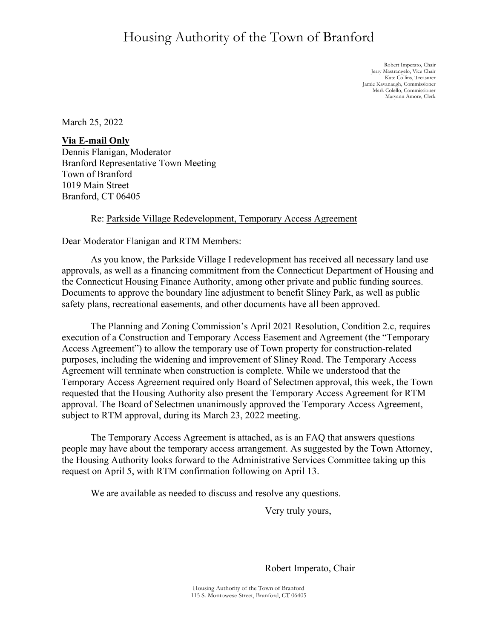## Housing Authority of the Town of Branford

Robert Imperato, Chair Jerry Mastrangelo, Vice Chair Kate Collins, Treasurer Jamie Kavanaugh, Commissioner Mark Colello, Commissioner Maryann Amore, Clerk

March 25, 2022

**Via E-mail Only** Dennis Flanigan, Moderator Branford Representative Town Meeting Town of Branford 1019 Main Street Branford, CT 06405

## Re: Parkside Village Redevelopment, Temporary Access Agreement

Dear Moderator Flanigan and RTM Members:

As you know, the Parkside Village I redevelopment has received all necessary land use approvals, as well as a financing commitment from the Connecticut Department of Housing and the Connecticut Housing Finance Authority, among other private and public funding sources. Documents to approve the boundary line adjustment to benefit Sliney Park, as well as public safety plans, recreational easements, and other documents have all been approved.

The Planning and Zoning Commission's April 2021 Resolution, Condition 2.c, requires execution of a Construction and Temporary Access Easement and Agreement (the "Temporary Access Agreement") to allow the temporary use of Town property for construction-related purposes, including the widening and improvement of Sliney Road. The Temporary Access Agreement will terminate when construction is complete. While we understood that the Temporary Access Agreement required only Board of Selectmen approval, this week, the Town requested that the Housing Authority also present the Temporary Access Agreement for RTM approval. The Board of Selectmen unanimously approved the Temporary Access Agreement, subject to RTM approval, during its March 23, 2022 meeting.

The Temporary Access Agreement is attached, as is an FAQ that answers questions people may have about the temporary access arrangement. As suggested by the Town Attorney, the Housing Authority looks forward to the Administrative Services Committee taking up this request on April 5, with RTM confirmation following on April 13.

We are available as needed to discuss and resolve any questions.

Very truly yours,

 $\bigoplus_{\alpha\in\mathbb{Z}}\bigoplus_{\alpha\in\mathbb{Z}}\bigoplus_{\alpha\in\mathbb{Z}}$ 

Robert Imperato, Chair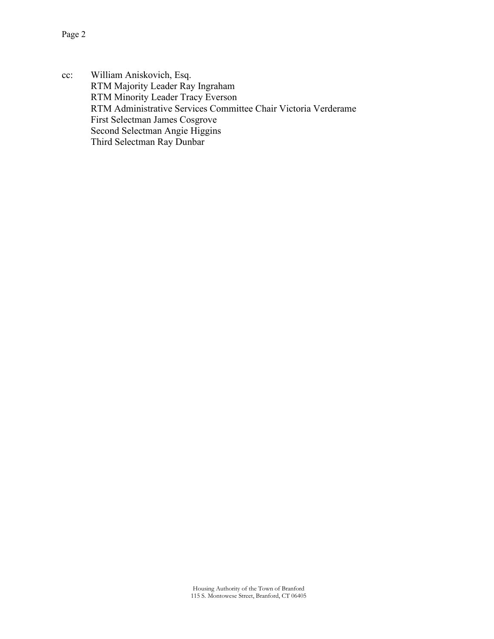cc: William Aniskovich, Esq. RTM Majority Leader Ray Ingraham RTM Minority Leader Tracy Everson RTM Administrative Services Committee Chair Victoria Verderame First Selectman James Cosgrove Second Selectman Angie Higgins Third Selectman Ray Dunbar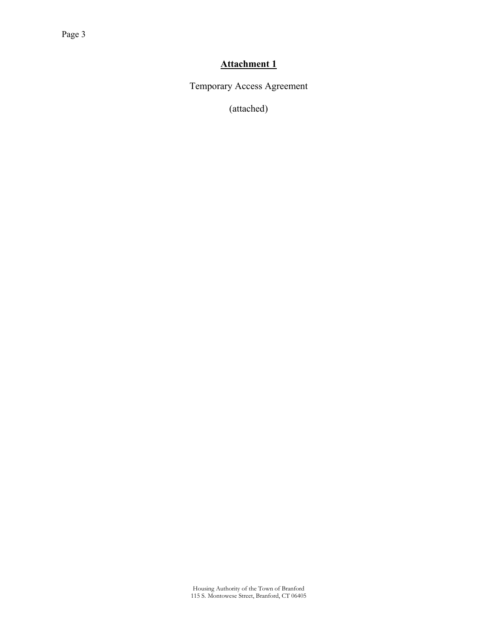## **Attachment 1**

Temporary Access Agreement

(attached)